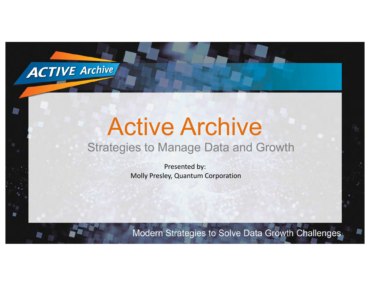

**by** 

## Active Archive Strategies to Manage Data and Growth

Presented by: Molly Presley, Quantum Corporation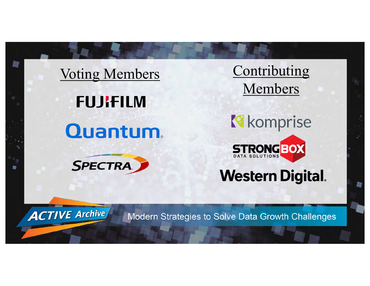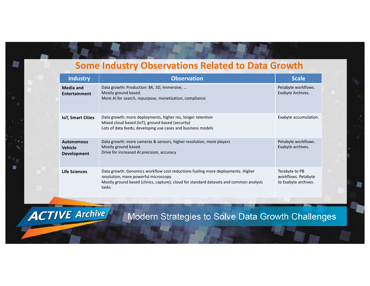### **Some Industry Observations Related to Data Growth**

|  | <b>Industry</b>                                           | <b>Observation</b>                                                                                                                                                                                                           | <b>Scale</b>                                                  |
|--|-----------------------------------------------------------|------------------------------------------------------------------------------------------------------------------------------------------------------------------------------------------------------------------------------|---------------------------------------------------------------|
|  | <b>Media and</b><br><b>Entertainment</b>                  | Data growth: Production: 8K, 3D, Immersive,<br>Mostly ground based.<br>More AI for search, repurpose, monetization, compliance                                                                                               | Petabyte workflows.<br>Exabyte Archives.                      |
|  | <b>IoT, Smart Cities</b>                                  | Data growth: more deployments, higher res, longer retention<br>Mixed cloud based (IoT), ground based (security)<br>Lots of data feeds; developing use cases and business models                                              | Exabyte accumulation.                                         |
|  | <b>Autonomous</b><br><b>Vehicle</b><br><b>Development</b> | Data growth: more cameras & sensors, higher resolution, more players<br>Mostly ground based.<br>Drive for increased AI precision, accuracy                                                                                   | Petabyte workflows.<br>Exabyte archives.                      |
|  | Life Sciences                                             | Data growth: Genomics workflow cost reductions fueling more deployments. Higher<br>resolution, more powerful microscopy.<br>Mostly ground based (clinics, capture); cloud for standard datasets and common analysis<br>tasks | Terabyte to PB<br>workflows. Petabyte<br>to Exabyte archives. |

₩

**ACTIVE Archive**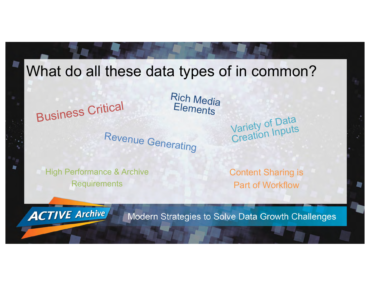

High Performance & Archive **Requirements** 

**ACTIVE Archive** 

Content Sharing is Part of Workflow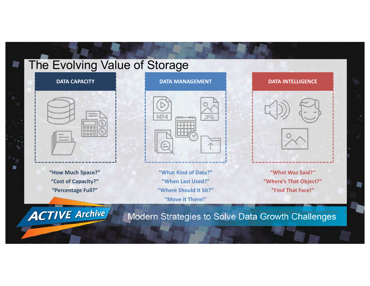## The Evolving Value of Storage

#### **DATA CAPACITY**



**"How Much Space?" "Cost of Capacity?" "Percentage Full?"**

**ACTIVE Archive** 

**D** 

**DATA MANAGEMENT**



**"What Kind of Data?" "When Last Used?" "Where Should It Sit?" "Move It There!"**

**"What Was Said?" "Where's That Object?" "Find That Face!"**

Modern Strategies to Solve Data Growth Challenges

**DATA INTELLIGENCE**

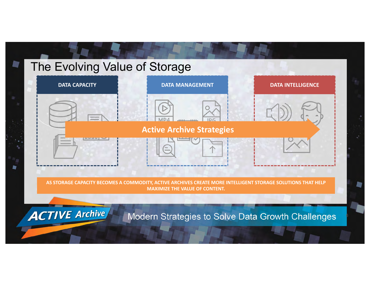# The Evolving Value of Storage **DATA CAPACITY DATA MANAGEMENT DATA INTELLIGENCE Active Archive Strategies** m **AS STORAGE CAPACITY BECOMES A COMMODITY, ACTIVE ARCHIVES CREATE MORE INTELLIGENT STORAGE SOLUTIONS THAT HELP MAXIMIZE THE VALUE OF CONTENT. ACTIVE Archive** Modern Strategies to Solve Data Growth Challenges 6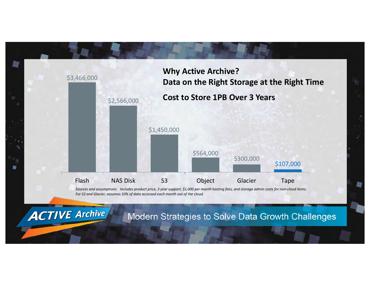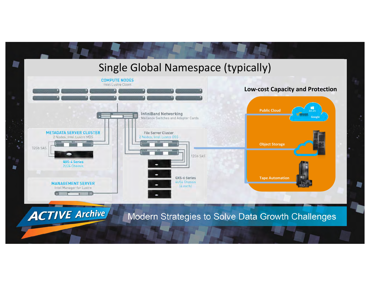

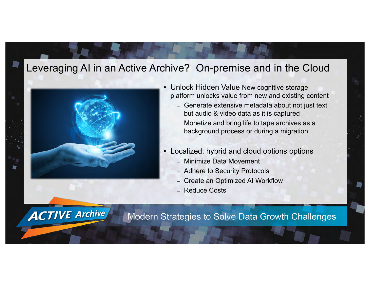#### Leveraging AI in an Active Archive? On-premise and in the Cloud



**ACTIVE Archive** 

- Unlock Hidden Value New cognitive storage platform unlocks value from new and existing content
	- Generate extensive metadata about not just text but audio & video data as it is captured
	- Monetize and bring life to tape archives as a background process or during a migration
- Localized, hybrid and cloud options options
	- Minimize Data Movement
	- Adhere to Security Protocols
	- Create an Optimized AI Workflow
	- Reduce Costs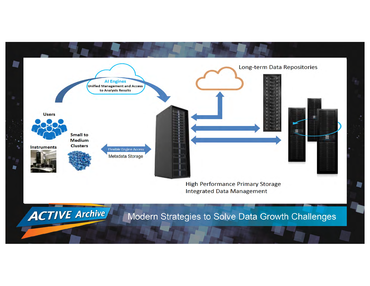